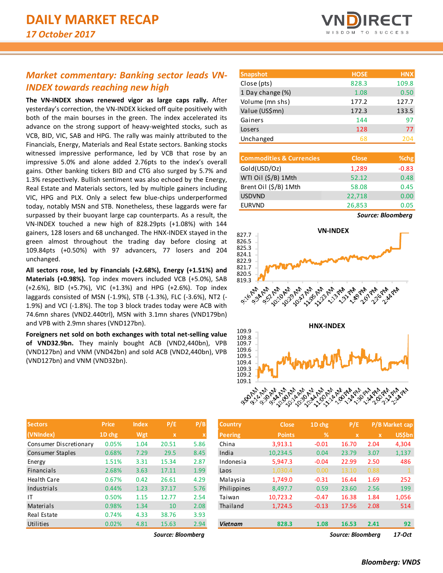## *Market commentary: Banking sector leads VN-INDEX towards reaching new high*

**The VN-INDEX shows renewed vigor as large caps rally.** After yesterday's correction, the VN-INDEX kicked off quite positively with both of the main bourses in the green. The index accelerated its advance on the strong support of heavy-weighted stocks, such as VCB, BID, VIC, SAB and HPG. The rally was mainly attributed to the Financials, Energy, Materials and Real Estate sectors. Banking stocks witnessed impressive performance, led by VCB that rose by an impressive 5.0% and alone added 2.76pts to the index's overall gains. Other banking tickers BID and CTG also surged by 5.7% and 1.3% respectively. Bullish sentiment was also echoed by the Energy, Real Estate and Materials sectors, led by multiple gainers including VIC, HPG and PLX. Only a select few blue-chips underperformed today, notably MSN and STB. Nonetheless, these laggards were far surpassed by their buoyant large cap counterparts. As a result, the VN-INDEX touched a new high of 828.29pts (+1.08%) with 144 gainers, 128 losers and 68 unchanged. The HNX-INDEX stayed in the green almost throughout the trading day before closing at 109.84pts (+0.50%) with 97 advancers, 77 losers and 204 unchanged.

**All sectors rose, led by Financials (+2.68%), Energy (+1.51%) and Materials (+0.98%).** Top index movers included VCB (+5.0%), SAB (+2.6%), BID (+5.7%), VIC (+1.3%) and HPG (+2.6%). Top index laggards consisted of MSN (-1.9%), STB (-1.3%), FLC (-3.6%), NT2 (- 1.9%) and VCI (-1.8%). The top 3 block trades today were ACB with 74.6mn shares (VND2.440trl), MSN with 3.1mn shares (VND179bn) and VPB with 2.9mn shares (VND127bn).

**Foreigners net sold on both exchanges with total net-selling value of VND32.9bn.** They mainly bought ACB (VND2,440bn), VPB (VND127bn) and VNM (VND42bn) and sold ACB (VND2,440bn), VPB (VND127bn) and VNM (VND32bn).

| <b>Sectors</b>         | <b>Price</b> | <b>Index</b> | P/E         | P/B  |
|------------------------|--------------|--------------|-------------|------|
| (VNIndex)              | 1D chg       | Wgt          | $\mathbf x$ | X    |
| Consumer Discretionary | 0.05%        | 1.04         | 20.51       | 5.86 |
| Consumer Staples       | 0.68%        | 7.29         | 29.5        | 8.45 |
| Energy                 | 1.51%        | 3.31         | 15.34       | 2.87 |
| Financials             | 2.68%        | 3.63         | 17.11       | 1.99 |
| Health Care            | 0.67%        | 0.42         | 26.61       | 4.29 |
| Industrials            | 0.44%        | 1.23         | 37.17       | 5.76 |
| ١T                     | 0.50%        | 1.15         | 12.77       | 2.54 |
| Materials              | 0.98%        | 1.34         | 10          | 2.08 |
| Real Estate            | 0.74%        | 4.33         | 38.76       | 3.93 |
| Utilities              | 0.02%        | 4.81         | 15.63       | 2.94 |

| <b>Snapshot</b>  | <b>HOSE</b> | <b>HNX</b> |
|------------------|-------------|------------|
| Close (pts)      | 828.3       | 109.8      |
| 1 Day change (%) | 1.08        | 0.50       |
| Volume (mn shs)  | 177.2       | 127.7      |
| Value (US\$mn)   | 172.3       | 133.5      |
| Gainers          | 144         | 97         |
| Losers           | 128         | 77         |
| Unchanged        | 68          | 204        |

| <b>Commodities &amp; Currencies</b> | <b>Close</b> | % <sub>chg</sub> |
|-------------------------------------|--------------|------------------|
| Gold(USD/Oz)                        | 1,289        | $-0.83$          |
| WTI Oil (\$/B) 1Mth                 | 52.12        | 0.48             |
| Brent Oil (\$/B) 1Mth               | 58.08        | 0.45             |
| <b>USDVND</b>                       | 22,718       | 0.00             |
| <b>EURVND</b>                       | 26,853       | 0.05             |







| <b>Sectors</b>         | <b>Price</b> | <b>Index</b> | P/E               | P/B  | <b>Country</b> | <b>Close</b>  | 1D chg        | P/E               |              | P/B Market cap |
|------------------------|--------------|--------------|-------------------|------|----------------|---------------|---------------|-------------------|--------------|----------------|
| (VNIndex)              | 1D chg       | Wgt          | X                 |      | <b>Peering</b> | <b>Points</b> | $\frac{9}{6}$ | $\mathbf x$       | $\mathbf{x}$ | <b>US\$bn</b>  |
| Consumer Discretionary | 0.05%        | 1.04         | 20.51             | 5.86 | China          | 3,913.1       | $-0.01$       | 16.70             | 2.04         | 4,304          |
| Consumer Staples       | 0.68%        | 7.29         | 29.5              | 8.45 | India          | 10,234.5      | 0.04          | 23.79             | 3.07         | 1,137          |
| Energy                 | 1.51%        | 3.31         | 15.34             | 2.87 | Indonesia      | 5,947.3       | $-0.04$       | 22.99             | 2.50         | 486            |
| Financials             | 2.68%        | 3.63         | 17.11             | 1.99 | Laos           | 1,030.4       | 0.00          | 13.10             | 0.88         |                |
| Health Care            | 0.67%        | 0.42         | 26.61             | 4.29 | Malaysia       | 1,749.0       | $-0.31$       | 16.44             | 1.69         | 252            |
| Industrials            | 0.44%        | 1.23         | 37.17             | 5.76 | Philippines    | 8,497.7       | 0.59          | 23.60             | 2.56         | 199            |
| ΙT                     | 0.50%        | 1.15         | 12.77             | 2.54 | Taiwan         | 10,723.2      | $-0.47$       | 16.38             | 1.84         | 1,056          |
| Materials              | 0.98%        | 1.34         | 10                | 2.08 | Thailand       | 1,724.5       | $-0.13$       | 17.56             | 2.08         | 514            |
| Real Estate            | 0.74%        | 4.33         | 38.76             | 3.93 |                |               |               |                   |              |                |
| Utilities              | 0.02%        | 4.81         | 15.63             | 2.94 | <b>Vietnam</b> | 828.3         | 1.08          | 16.53             | 2.41         | 92             |
|                        |              |              | Source: Bloomberg |      |                |               |               | Source: Bloombera |              | 17-Oct         |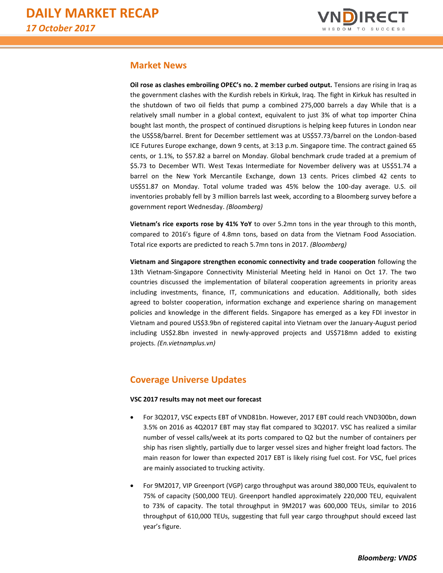

## **Market News**

**Oil rose as clashes embroiling OPEC's no. 2 member curbed output.** Tensions are rising in Iraq as the government clashes with the Kurdish rebels in Kirkuk, Iraq. The fight in Kirkuk has resulted in the shutdown of two oil fields that pump a combined 275,000 barrels a day While that is a relatively small number in a global context, equivalent to just 3% of what top importer China bought last month, the prospect of continued disruptions is helping keep futures in London near the US\$58/barrel. Brent for December settlement was at US\$57.73/barrel on the London-based ICE Futures Europe exchange, down 9 cents, at 3:13 p.m. Singapore time. The contract gained 65 cents, or 1.1%, to \$57.82 a barrel on Monday. Global benchmark crude traded at a premium of \$5.73 to December WTI. West Texas Intermediate for November delivery was at US\$51.74 a barrel on the New York Mercantile Exchange, down 13 cents. Prices climbed 42 cents to US\$51.87 on Monday. Total volume traded was 45% below the 100-day average. U.S. oil inventories probably fell by 3 million barrels last week, according to a Bloomberg survey before a government report Wednesday. *(Bloomberg)*

**Vietnam's rice exports rose by 41% YoY** to over 5.2mn tons in the year through to this month, compared to 2016's figure of 4.8mn tons, based on data from the Vietnam Food Association. Total rice exports are predicted to reach 5.7mn tons in 2017. *(Bloomberg)*

**Vietnam and Singapore strengthen economic connectivity and trade cooperation** following the 13th Vietnam-Singapore Connectivity Ministerial Meeting held in Hanoi on Oct 17. The two countries discussed the implementation of bilateral cooperation agreements in priority areas including investments, finance, IT, communications and education. Additionally, both sides agreed to bolster cooperation, information exchange and experience sharing on management policies and knowledge in the different fields. Singapore has emerged as a key FDI investor in Vietnam and poured US\$3.9bn of registered capital into Vietnam over the January-August period including US\$2.8bn invested in newly-approved projects and US\$718mn added to existing projects. *(En.vietnamplus.vn)* 

## **Coverage Universe Updates**

### **VSC 2017 results may not meet our forecast**

- For 3Q2017, VSC expects EBT of VND81bn. However, 2017 EBT could reach VND300bn, down 3.5% on 2016 as 4Q2017 EBT may stay flat compared to 3Q2017. VSC has realized a similar number of vessel calls/week at its ports compared to Q2 but the number of containers per ship has risen slightly, partially due to larger vessel sizes and higher freight load factors. The main reason for lower than expected 2017 EBT is likely rising fuel cost. For VSC, fuel prices are mainly associated to trucking activity.
- For 9M2017, VIP Greenport (VGP) cargo throughput was around 380,000 TEUs, equivalent to 75% of capacity (500,000 TEU). Greenport handled approximately 220,000 TEU, equivalent to 73% of capacity. The total throughput in 9M2017 was 600,000 TEUs, similar to 2016 throughput of 610,000 TEUs, suggesting that full year cargo throughput should exceed last year's figure.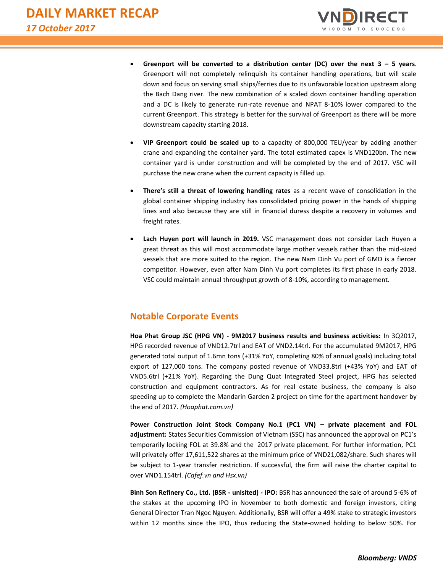

- Greenport will be converted to a distribution center (DC) over the next  $3 5$  years. Greenport will not completely relinquish its container handling operations, but will scale down and focus on serving small ships/ferries due to its unfavorable location upstream along the Bach Dang river. The new combination of a scaled down container handling operation and a DC is likely to generate run-rate revenue and NPAT 8-10% lower compared to the current Greenport. This strategy is better for the survival of Greenport as there will be more downstream capacity starting 2018.
- **VIP Greenport could be scaled up** to a capacity of 800,000 TEU/year by adding another crane and expanding the container yard. The total estimated capex is VND120bn. The new container yard is under construction and will be completed by the end of 2017. VSC will purchase the new crane when the current capacity is filled up.
- **There's still a threat of lowering handling rates** as a recent wave of consolidation in the global container shipping industry has consolidated pricing power in the hands of shipping lines and also because they are still in financial duress despite a recovery in volumes and freight rates.
- **Lach Huyen port will launch in 2019.** VSC management does not consider Lach Huyen a great threat as this will most accommodate large mother vessels rather than the mid-sized vessels that are more suited to the region. The new Nam Dinh Vu port of GMD is a fiercer competitor. However, even after Nam Dinh Vu port completes its first phase in early 2018. VSC could maintain annual throughput growth of 8-10%, according to management.

## **Notable Corporate Events**

**Hoa Phat Group JSC (HPG VN) - 9M2017 business results and business activities:** In 3Q2017, HPG recorded revenue of VND12.7trl and EAT of VND2.14trl. For the accumulated 9M2017, HPG generated total output of 1.6mn tons (+31% YoY, completing 80% of annual goals) including total export of 127,000 tons. The company posted revenue of VND33.8trl (+43% YoY) and EAT of VND5.6trl (+21% YoY). Regarding the Dung Quat Integrated Steel project, HPG has selected construction and equipment contractors. As for real estate business, the company is also speeding up to complete the Mandarin Garden 2 project on time for the apartment handover by the end of 2017. *(Hoaphat.com.vn)*

**Power Construction Joint Stock Company No.1 (PC1 VN) – private placement and FOL adjustment:** States Securities Commission of Vietnam (SSC) has announced the approval on PC1's temporarily locking FOL at 39.8% and the 2017 private placement. For further information, PC1 will privately offer 17,611,522 shares at the minimum price of VND21,082/share. Such shares will be subject to 1-year transfer restriction. If successful, the firm will raise the charter capital to over VND1.154trl. *(Cafef.vn and Hsx.vn)*

**Binh Son Refinery Co., Ltd. (BSR - unlsited) - IPO:** BSR has announced the sale of around 5-6% of the stakes at the upcoming IPO in November to both domestic and foreign investors, citing General Director Tran Ngoc Nguyen. Additionally, BSR will offer a 49% stake to strategic investors within 12 months since the IPO, thus reducing the State-owned holding to below 50%. For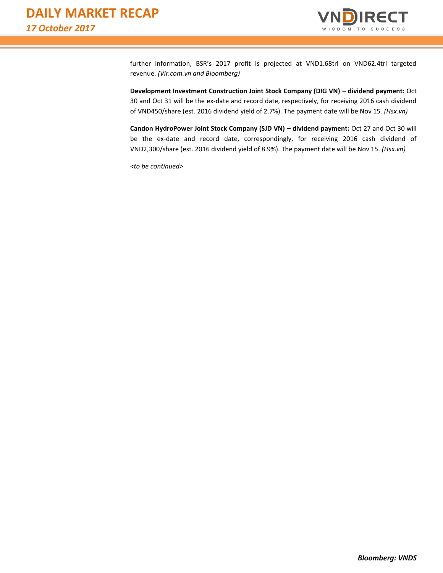

further information, BSR's 2017 profit is projected at VND1.68trl on VND62.4trl targeted revenue. *(Vir.com.vn and Bloomberg)*

**Development Investment Construction Joint Stock Company (DIG VN) – dividend payment:** Oct 30 and Oct 31 will be the ex-date and record date, respectively, for receiving 2016 cash dividend of VND450/share (est. 2016 dividend yield of 2.7%). The payment date will be Nov 15. *(Hsx.vn)*

**Candon HydroPower Joint Stock Company (SJD VN) – dividend payment:** Oct 27 and Oct 30 will be the ex-date and record date, correspondingly, for receiving 2016 cash dividend of VND2,300/share (est. 2016 dividend yield of 8.9%). The payment date will be Nov 15. *(Hsx.vn)*

*<to be continued>*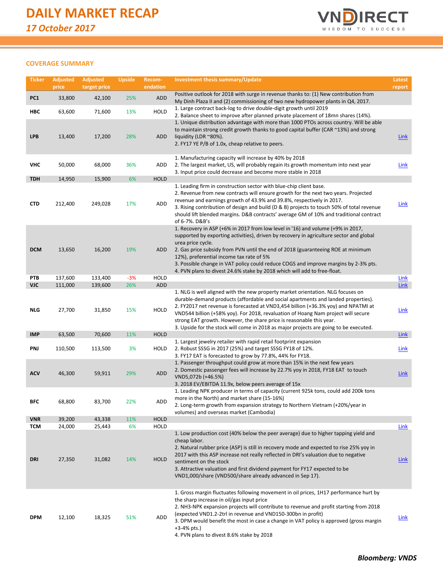

## **COVERAGE SUMMARY**

| <b>Ticker</b>            | <b>Adjusted</b><br>price | <b>Adjusted</b><br>target price | <b>Upside</b> | Recom-<br>endation | <b>Investment thesis summary/Update</b>                                                                                                                                                                                                                                                                                                                                                                                                                                                            | Latest<br>report           |
|--------------------------|--------------------------|---------------------------------|---------------|--------------------|----------------------------------------------------------------------------------------------------------------------------------------------------------------------------------------------------------------------------------------------------------------------------------------------------------------------------------------------------------------------------------------------------------------------------------------------------------------------------------------------------|----------------------------|
| PC <sub>1</sub>          | 33,800                   | 42,100                          | 25%           | ADD                | Positive outlook for 2018 with surge in revenue thanks to: (1) New contribution from<br>My Dinh Plaza II and (2) commissioning of two new hydropower plants in Q4, 2017.                                                                                                                                                                                                                                                                                                                           |                            |
| HBC                      | 63,600                   | 71,600                          | 13%           | HOLD               | 1. Large contract back-log to drive double-digit growth until 2019                                                                                                                                                                                                                                                                                                                                                                                                                                 |                            |
| <b>LPB</b>               | 13,400                   | 17,200                          | 28%           | ADD                | 2. Balance sheet to improve after planned private placement of 18mn shares (14%).<br>1. Unique distribution advantage with more than 1000 PTOs across country. Will be able<br>to maintain strong credit growth thanks to good capital buffer (CAR ~13%) and strong<br>liquidity (LDR $^{\sim}80\%$ ).<br>2. FY17 YE P/B of 1.0x, cheap relative to peers.                                                                                                                                         | <b>Link</b>                |
| <b>VHC</b>               | 50,000                   | 68,000                          | 36%           | ADD                | 1. Manufacturing capacity will increase by 40% by 2018<br>2. The largest market, US, will probably regain its growth momentum into next year<br>3. Input price could decrease and become more stable in 2018                                                                                                                                                                                                                                                                                       | <b>Link</b>                |
| <b>TDH</b>               | 14,950                   | 15,900                          | 6%            | <b>HOLD</b>        |                                                                                                                                                                                                                                                                                                                                                                                                                                                                                                    |                            |
| <b>CTD</b>               | 212,400                  | 249,028                         | 17%           | <b>ADD</b>         | 1. Leading firm in construction sector with blue-chip client base.<br>2. Revenue from new contracts will ensure growth for the next two years. Projected<br>revenue and earnings growth of 43.9% and 39.8%, respectively in 2017.<br>3. Rising contribution of design and build (D & B) projects to touch 50% of total revenue<br>should lift blended margins. D&B contracts' average GM of 10% and traditional contract<br>of 6-7%. D&B's                                                         | <b>Link</b>                |
| <b>DCM</b>               | 13,650                   | 16,200                          | 19%           | ADD                | 1. Recovery in ASP (+6% in 2017 from low level in '16) and volume (+9% in 2017,<br>supported by exporting activities), driven by recovery in agriculture sector and global<br>urea price cycle.<br>2. Gas price subsidy from PVN until the end of 2018 (guaranteeing ROE at minimum<br>12%), preferential income tax rate of 5%<br>3. Possible change in VAT policy could reduce COGS and improve margins by 2-3% pts.<br>4. PVN plans to divest 24.6% stake by 2018 which will add to free-float. |                            |
| PTB                      | 137,600                  | 133,400                         | $-3%$         | <b>HOLD</b>        |                                                                                                                                                                                                                                                                                                                                                                                                                                                                                                    | <b>Link</b>                |
| <b>VJC</b><br><b>NLG</b> | 111,000<br>27,700        | 139,600<br>31,850               | 26%<br>15%    | ADD<br>HOLD        | 1. NLG is well aligned with the new property market orientation. NLG focuses on<br>durable-demand products (affordable and social apartments and landed properties).<br>2. FY2017 net revenue is forecasted at VND3,454 billion (+36.3% yoy) and NPATMI at<br>VND544 billion (+58% yoy). For 2018, revaluation of Hoang Nam project will secure<br>strong EAT growth. However, the share price is reasonable this year.                                                                            | <b>Link</b><br><b>Link</b> |
|                          |                          |                                 |               |                    | 3. Upside for the stock will come in 2018 as major projects are going to be executed.                                                                                                                                                                                                                                                                                                                                                                                                              |                            |
| <b>IMP</b>               | 63,500                   | 70,600                          | 11%           | <b>HOLD</b>        |                                                                                                                                                                                                                                                                                                                                                                                                                                                                                                    | <b>Link</b>                |
| PNJ                      | 110,500                  | 113,500                         | 3%            | HOLD               | 1. Largest jewelry retailer with rapid retail footprint expansion<br>2. Robust SSSG in 2017 (25%) and target SSSG FY18 of 12%.<br>3. FY17 EAT is forecasted to grow by 77.8%, 44% for FY18.                                                                                                                                                                                                                                                                                                        | Link                       |
| <b>ACV</b>               | 46,300                   | 59,911                          | 29%           | <b>ADD</b>         | 1. Passenger throughput could grow at more than 15% in the next few years<br>2. Domestic passenger fees will increase by 22.7% yoy in 2018, FY18 EAT to touch<br>VND5,072b (+46.5%)<br>3. 2018 EV/EBITDA 11.9x, below peers average of 15x                                                                                                                                                                                                                                                         | <b>Link</b>                |
| BFC                      | 68,800                   | 83,700                          | 22%           | ADD                | 1. Leading NPK producer in terms of capacity (current 925k tons, could add 200k tons<br>more in the North) and market share (15-16%)<br>2. Long-term growth from expansion strategy to Northern Vietnam (+20%/year in<br>volumes) and overseas market (Cambodia)                                                                                                                                                                                                                                   |                            |
| <b>VNR</b>               | 39,200                   | 43,338                          | 11%           | <b>HOLD</b>        |                                                                                                                                                                                                                                                                                                                                                                                                                                                                                                    |                            |
| <b>TCM</b>               | 24,000                   | 25,443                          | 6%            | HOLD               | 1. Low production cost (40% below the peer average) due to higher tapping yield and                                                                                                                                                                                                                                                                                                                                                                                                                | Link                       |
| DRI                      | 27,350                   | 31,082                          | 14%           | <b>HOLD</b>        | cheap labor.<br>2. Natural rubber price (ASP) is still in recovery mode and expected to rise 25% yoy in<br>2017 with this ASP increase not really reflected in DRI's valuation due to negative<br>sentiment on the stock<br>3. Attractive valuation and first dividend payment for FY17 expected to be<br>VND1,000/share (VND500/share already advanced in Sep 17).                                                                                                                                | <b>Link</b>                |
| <b>DPM</b>               | 12,100                   | 18,325                          | 51%           | ADD                | 1. Gross margin fluctuates following movement in oil prices, 1H17 performance hurt by<br>the sharp increase in oil/gas input price<br>2. NH3-NPK expansion projects will contribute to revenue and profit starting from 2018<br>(expected VND1.2-2trl in revenue and VND150-300bn in profit)<br>3. DPM would benefit the most in case a change in VAT policy is approved (gross margin<br>$+3-4%$ pts.)<br>4. PVN plans to divest 8.6% stake by 2018                                               | Link                       |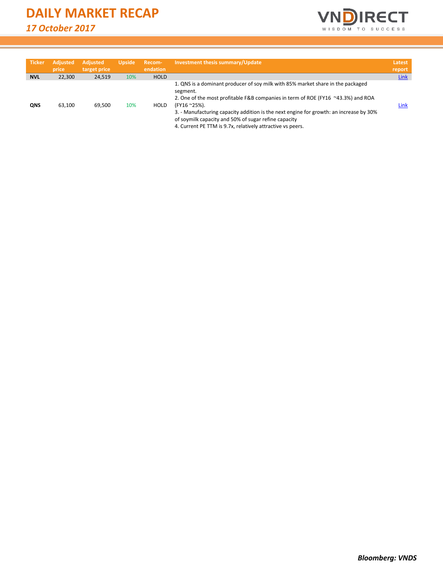

| <b>Ticker</b> | <b>Adjusted</b><br>price | <b>Adjusted</b><br>target price | <b>Upside</b> | Recom-<br>endation | Investment thesis summary/Update                                                                                                                                                                                                                                                                                                                                                                                | Latest<br>report |
|---------------|--------------------------|---------------------------------|---------------|--------------------|-----------------------------------------------------------------------------------------------------------------------------------------------------------------------------------------------------------------------------------------------------------------------------------------------------------------------------------------------------------------------------------------------------------------|------------------|
| <b>NVL</b>    | 22,300                   | 24,519                          | 10%           | <b>HOLD</b>        |                                                                                                                                                                                                                                                                                                                                                                                                                 | Link             |
| QNS           | 63,100                   | 69,500                          | 10%           | HOLD               | 1. QNS is a dominant producer of soy milk with 85% market share in the packaged<br>segment.<br>2. One of the most profitable F&B companies in term of ROE (FY16 ~43.3%) and ROA<br>(FY16 ~25%).<br>3. - Manufacturing capacity addition is the next engine for growth: an increase by 30%<br>of soymilk capacity and 50% of sugar refine capacity<br>4. Current PE TTM is 9.7x, relatively attractive vs peers. | Link             |

*Bloomberg: VNDS*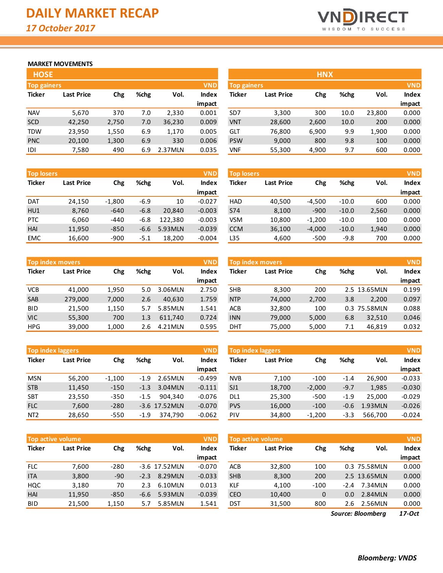

## **MARKET MOVEMENTS**

| <b>HOSE</b>                      |                   |       |      |         |              |  |  |  |
|----------------------------------|-------------------|-------|------|---------|--------------|--|--|--|
| <b>VND</b><br><b>Top gainers</b> |                   |       |      |         |              |  |  |  |
| <b>Ticker</b>                    | <b>Last Price</b> | Chg   | %chg | Vol.    | <b>Index</b> |  |  |  |
|                                  |                   |       |      |         | impact       |  |  |  |
| <b>NAV</b>                       | 5,670             | 370   | 7.0  | 2,330   | 0.001        |  |  |  |
| <b>SCD</b>                       | 42,250            | 2,750 | 7.0  | 36,230  | 0.009        |  |  |  |
| <b>TDW</b>                       | 23,950            | 1,550 | 6.9  | 1,170   | 0.005        |  |  |  |
| <b>PNC</b>                       | 20,100            | 1,300 | 6.9  | 330     | 0.006        |  |  |  |
| IDI                              | 7,580             | 490   | 6.9  | 2.37MLN | 0.035        |  |  |  |

| <b>Top losers</b> |                   |          |        |                      | <b>VND</b> |  |  |
|-------------------|-------------------|----------|--------|----------------------|------------|--|--|
| <b>Ticker</b>     | <b>Last Price</b> | Chg      | %chg   | <b>Index</b><br>Vol. |            |  |  |
|                   |                   |          |        |                      | impact     |  |  |
| <b>DAT</b>        | 24,150            | $-1,800$ | $-6.9$ | 10                   | $-0.027$   |  |  |
| HU1               | 8,760             | $-640$   | $-6.8$ | 20,840               | $-0.003$   |  |  |
| <b>PTC</b>        | 6,060             | $-440$   | $-6.8$ | 122,380              | $-0.003$   |  |  |
| HAI               | 11,950            | $-850$   | $-6.6$ | 5.93MLN              | $-0.039$   |  |  |
| <b>EMC</b>        | 16,600            | $-900$   | $-5.1$ | 18,200               | $-0.004$   |  |  |

| <b>Top index movers</b> |                   |       |      |         |              |  |  |  |  |
|-------------------------|-------------------|-------|------|---------|--------------|--|--|--|--|
| <b>Ticker</b>           | <b>Last Price</b> | Chg   | %chg | Vol.    | <b>Index</b> |  |  |  |  |
|                         |                   |       |      |         | impact       |  |  |  |  |
| <b>VCB</b>              | 41,000            | 1,950 | 5.0  | 3.06MLN | 2.750        |  |  |  |  |
| <b>SAB</b>              | 279,000           | 7,000 | 2.6  | 40,630  | 1.759        |  |  |  |  |
| <b>BID</b>              | 21,500            | 1,150 | 5.7  | 5.85MLN | 1.541        |  |  |  |  |
| <b>VIC</b>              | 55,300            | 700   | 1.3  | 611,740 | 0.724        |  |  |  |  |
| <b>HPG</b>              | 39,000            | 1,000 | 2.6  | 4.21MLN | 0.595        |  |  |  |  |

|                 | <b>Top index laggers</b> |          |        |               |              |  |  |  |  |  |
|-----------------|--------------------------|----------|--------|---------------|--------------|--|--|--|--|--|
| <b>Ticker</b>   | <b>Last Price</b>        | Chg      | %chg   | Vol.          | <b>Index</b> |  |  |  |  |  |
|                 |                          |          |        |               | impact       |  |  |  |  |  |
| <b>MSN</b>      | 56,200                   | $-1,100$ | $-1.9$ | 2.65MLN       | $-0.499$     |  |  |  |  |  |
| <b>STB</b>      | 11,450                   | $-150$   | $-1.3$ | 3.04MLN       | $-0.111$     |  |  |  |  |  |
| <b>SBT</b>      | 23,550                   | $-350$   | $-1.5$ | 904.340       | $-0.076$     |  |  |  |  |  |
| <b>FLC</b>      | 7,600                    | $-280$   |        | -3.6 17.52MLN | $-0.070$     |  |  |  |  |  |
| NT <sub>2</sub> | 28,650                   | $-550$   | $-1.9$ | 374.790       | $-0.062$     |  |  |  |  |  |

| <b>VND</b><br><b>Top active volume</b> |                   |        |        |               |              |  |  |  |  |
|----------------------------------------|-------------------|--------|--------|---------------|--------------|--|--|--|--|
| <b>Ticker</b>                          | <b>Last Price</b> | Chg    | %chg   | Vol.          | <b>Index</b> |  |  |  |  |
|                                        |                   |        |        |               | impact       |  |  |  |  |
| <b>FLC</b>                             | 7,600             | $-280$ |        | -3.6 17.52MLN | $-0.070$     |  |  |  |  |
| <b>ITA</b>                             | 3,800             | $-90$  | $-2.3$ | 8.29MLN       | $-0.033$     |  |  |  |  |
| HQC                                    | 3,180             | 70     | 2.3    | 6.10MLN       | 0.013        |  |  |  |  |
| HAI                                    | 11,950            | $-850$ | $-6.6$ | 5.93MLN       | $-0.039$     |  |  |  |  |
| BID                                    | 21,500            | 1,150  | 5.7    | 5.85MLN       | 1.541        |  |  |  |  |

| <b>HOSE</b>                      |                   |       |      |         |             |                 |                   | <b>HNX</b> |      |            |              |
|----------------------------------|-------------------|-------|------|---------|-------------|-----------------|-------------------|------------|------|------------|--------------|
| <b>VND</b><br><b>Top gainers</b> |                   |       |      |         | Top gainers |                 |                   |            |      | <b>VND</b> |              |
| Ticker                           | <b>Last Price</b> | Chg   | %chg | Vol.    | Index       | <b>Ticker</b>   | <b>Last Price</b> | Chg        | %chg | Vol.       | <b>Index</b> |
|                                  |                   |       |      |         | impact      |                 |                   |            |      |            | impact       |
| <b>NAV</b>                       | 5,670             | 370   | 7.0  | 2,330   | 0.001       | SD <sub>7</sub> | 3,300             | 300        | 10.0 | 23,800     | 0.000        |
| SCD                              | 42,250            | 2,750 | 7.0  | 36,230  | 0.009       | <b>VNT</b>      | 28,600            | 2,600      | 10.0 | 200        | 0.000        |
| TDW                              | 23,950            | 1,550 | 6.9  | 1,170   | 0.005       | GLT             | 76,800            | 6,900      | 9.9  | 1,900      | 0.000        |
| <b>PNC</b>                       | 20,100            | 1,300 | 6.9  | 330     | 0.006       | <b>PSW</b>      | 9,000             | 800        | 9.8  | 100        | 0.000        |
| IDI                              | 7,580             | 490   | 6.9  | 2.37MLN | 0.035       | <b>VNF</b>      | 55,300            | 4,900      | 9.7  | 600        | 0.000        |

| <b>Top losers</b> |                   |          |        |          | <b>VND</b> | <b>Top losers</b> |                   |          |         |       | <b>VND</b>   |
|-------------------|-------------------|----------|--------|----------|------------|-------------------|-------------------|----------|---------|-------|--------------|
| Ticker            | <b>Last Price</b> | Chg      | %chg   | Vol.     | Index      | <b>Ticker</b>     | <b>Last Price</b> | Chg      | %chg    | Vol.  | <b>Index</b> |
|                   |                   |          |        |          | impact     |                   |                   |          |         |       | impact       |
| <b>DAT</b>        | 24,150            | $-1,800$ | $-6.9$ | 10       | $-0.027$   | <b>HAD</b>        | 40,500            | $-4.500$ | $-10.0$ | 600   | 0.000        |
| HU1               | 8,760             | $-640$   | $-6.8$ | 20.840   | $-0.003$   | S74               | 8,100             | $-900$   | $-10.0$ | 2,560 | 0.000        |
| <b>PTC</b>        | 6,060             | $-440$   | $-6.8$ | 122.380  | $-0.003$   | <b>VSM</b>        | 10,800            | $-1.200$ | $-10.0$ | 100   | 0.000        |
| HAI               | 11,950            | $-850$   | $-6.6$ | 5.93 MLN | $-0.039$   | <b>CCM</b>        | 36,100            | $-4,000$ | $-10.0$ | 1,940 | 0.000        |
| <b>EMC</b>        | 16.600            | $-900$   | $-5.1$ | 18.200   | $-0.004$   | L35               | 4,600             | $-500$   | $-9.8$  | 700   | 0.000        |

|            | <b>Top index movers</b>  |       |      |          | <b>VND</b>   | <b>Top index movers</b> |                   |       |      |               |              |
|------------|--------------------------|-------|------|----------|--------------|-------------------------|-------------------|-------|------|---------------|--------------|
| Ticker     | <b>Last Price</b><br>Chg |       | %chg | Vol.     | <b>Index</b> | Ticker                  | <b>Last Price</b> | Chg   | %chg | Vol.          | <b>Index</b> |
|            |                          |       |      |          | impact       |                         |                   |       |      |               | impact       |
| VCB        | 41.000                   | 1.950 | 5.0  | 3.06MLN  | 2.750        | <b>SHB</b>              | 8,300             | 200   |      | 2.5 13.65 MLN | 0.199        |
| SAB        | 279,000                  | 7,000 | 2.6  | 40.630   | 1.759        | <b>NTP</b>              | 74,000            | 2,700 | 3.8  | 2.200         | 0.097        |
| <b>BID</b> | 21,500                   | 1,150 | 5.7  | 5.85 MLN | 1.541        | ACB                     | 32,800            | 100   |      | 0.3 75.58MLN  | 0.088        |
| VIC        | 55,300                   | 700   | 1.3  | 611.740  | 0.724        | <b>INN</b>              | 79,000            | 5,000 | 6.8  | 32.510        | 0.046        |
| <b>HPG</b> | 39,000                   | 1,000 | 2.6  | 4.21MLN  | 0.595        | DHT                     | 75,000            | 5,000 | 7.1  | 46.819        | 0.032        |

| <b>Top index laggers</b> |                   |             |        |                 | <b>VND</b> | <b>VND</b><br><b>Top index laggers</b> |                   |          |        |         |          |
|--------------------------|-------------------|-------------|--------|-----------------|------------|----------------------------------------|-------------------|----------|--------|---------|----------|
| Ticker                   | <b>Last Price</b> | %chg<br>Chg |        | Vol.            | Index      | Ticker                                 | <b>Last Price</b> | Chg      | %chg   | Vol.    | Index    |
|                          |                   |             |        |                 | impact     |                                        |                   |          |        |         | impact   |
| <b>MSN</b>               | 56,200            | $-1,100$    | $-1.9$ | 2.65MLN         | $-0.499$   | <b>NVB</b>                             | 7.100             | $-100$   | $-1.4$ | 26.900  | $-0.033$ |
| <b>STB</b>               | 11,450            | $-150$      | $-1.3$ | 3.04MLN         | $-0.111$   | SJ1                                    | 18,700            | $-2,000$ | $-9.7$ | 1,985   | $-0.030$ |
| SBT                      | 23,550            | $-350$      | $-1.5$ | 904.340         | $-0.076$   | DL1                                    | 25,300            | $-500$   | $-1.9$ | 25,000  | $-0.029$ |
| <b>FLC</b>               | 7,600             | $-280$      |        | $-3.6$ 17.52MLN | $-0.070$   | <b>PVS</b>                             | 16,000            | $-100$   | $-0.6$ | 1.93MLN | $-0.026$ |
| NT <sub>2</sub>          | 28,650            | $-550$      | $-1.9$ | 374.790         | $-0.062$   | PIV                                    | 34,800            | $-1.200$ | $-3.3$ | 566,700 | $-0.024$ |

|            | <b>Top active volume</b> |             |        |               | <b>VND</b> |            | Top active volume |              |        |               | <b>VND</b>   |
|------------|--------------------------|-------------|--------|---------------|------------|------------|-------------------|--------------|--------|---------------|--------------|
| Ticker     | <b>Last Price</b>        | %chg<br>Chg |        | Vol.          | Index      | Ticker     | <b>Last Price</b> | Chg          | %chg   | Vol.          | <b>Index</b> |
|            |                          |             |        |               | impact     |            |                   |              |        |               | impact       |
| <b>FLC</b> | 7.600                    | $-280$      |        | -3.6 17.52MLN | $-0.070$   | <b>ACB</b> | 32,800            | 100          |        | 0.3 75.58MLN  | 0.000        |
| <b>ITA</b> | 3,800                    | $-90$       | $-2.3$ | 8.29MLN       | $-0.033$   | <b>SHB</b> | 8,300             | 200          |        | 2.5 13.65 MLN | 0.000        |
| HQC        | 3,180                    | 70          | 2.3    | 6.10MLN       | 0.013      | <b>KLF</b> | 4,100             | $-100$       | $-2.4$ | 7.34MLN       | 0.000        |
| <b>HAI</b> | 11,950                   | $-850$      | -6.6   | 5.93MLN       | $-0.039$   | <b>CEO</b> | 10,400            | $\mathbf{0}$ | 0.0    | 2.84MLN       | 0.000        |
| <b>BID</b> | 21,500                   | 1,150       | 5.7    | 5.85MLN       | 1.541      | DST        | 31,500            | 800          | 2.6    | 2.56MLN       | 0.000        |
|            |                          |             |        |               |            |            |                   |              |        |               |              |

*17-Oct Source: Bloomberg*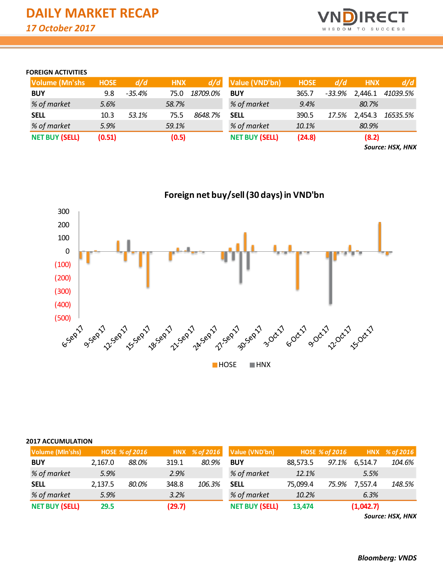

## **FOREIGN ACTIVITIES**

| <b>Volume (Mn'shs)</b> | <b>HOSE</b> | d/d      | <b>HNX</b> | d/d      | Value (VND'bn)        | <b>HOSE</b> | d/d      | <b>HNX</b> | d/d      |
|------------------------|-------------|----------|------------|----------|-----------------------|-------------|----------|------------|----------|
| <b>BUY</b>             | 9.8         | $-35.4%$ | 75.0       | 18709.0% | <b>BUY</b>            | 365.7       | $-33.9%$ | 2,446.1    | 41039.5% |
| % of market            | 5.6%        |          | 58.7%      |          | % of market           | 9.4%        |          | 80.7%      |          |
| <b>SELL</b>            | 10.3        | 53.1%    | 75.5       | 8648.7%  | <b>SELL</b>           | 390.5       | 17.5%    | 2,454.3    | 16535.5% |
| % of market            | 5.9%        |          | 59.1%      |          | % of market           | 10.1%       |          | 80.9%      |          |
| <b>NET BUY (SELL)</b>  | (0.51)      |          | (0.5)      |          | <b>NET BUY (SELL)</b> | (24.8)      |          | (8.2)      |          |

*Source: HSX, HNX*



#### **2017 ACCUMULATION**

| Volume (MIn'shs)      |         | <b>HOSE % of 2016</b> |        | HNX % of 2016 | Value (VND'bn)        |          | HOSE % of 2016 |           | HNX % of 2016 |
|-----------------------|---------|-----------------------|--------|---------------|-----------------------|----------|----------------|-----------|---------------|
| <b>BUY</b>            | 2.167.0 | 88.0%                 | 319.1  | 80.9%         | <b>BUY</b>            | 88,573.5 | 97.1%          | 6,514.7   | 104.6%        |
| % of market           | 5.9%    |                       | 2.9%   |               | % of market           | 12.1%    |                | 5.5%      |               |
| <b>SELL</b>           | 2,137.5 | 80.0%                 | 348.8  | 106.3%        | <b>SELL</b>           | 75,099.4 | 75.9%          | 7,557.4   | 148.5%        |
| % of market           | 5.9%    |                       | 3.2%   |               | % of market           | 10.2%    |                | 6.3%      |               |
| <b>NET BUY (SELL)</b> | 29.5    |                       | (29.7) |               | <b>NET BUY (SELL)</b> | 13,474   |                | (1,042.7) |               |

*Source: HSX, HNX*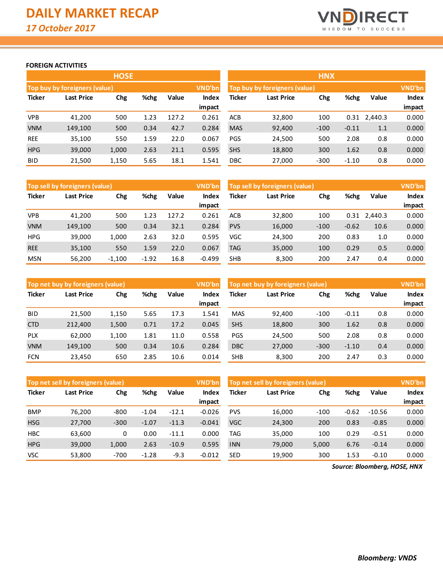

## **FOREIGN ACTIVITIES**

|               |                                  | <b>HOSE</b> |      |       |        | <b>HNX</b> |                               |        |         |              |              |
|---------------|----------------------------------|-------------|------|-------|--------|------------|-------------------------------|--------|---------|--------------|--------------|
|               | Top buy by foreigners (value)    |             |      |       | VND'bn |            | Top buy by foreigners (value) |        |         |              | VND'bn       |
| <b>Ticker</b> | %chg<br><b>Last Price</b><br>Chg |             |      | Value | Index  | Ticker     | <b>Last Price</b>             | Chg    | %chg    | Value        | <b>Index</b> |
|               |                                  |             |      |       | impact |            |                               |        |         |              | impact       |
| <b>VPB</b>    | 41,200                           | 500         | 1.23 | 127.2 | 0.261  | <b>ACB</b> | 32,800                        | 100    |         | 0.31 2,440.3 | 0.000        |
| <b>VNM</b>    | 149,100                          | 500         | 0.34 | 42.7  | 0.284  | <b>MAS</b> | 92,400                        | $-100$ | $-0.11$ | 1.1          | 0.000        |
| <b>REE</b>    | 35,100                           | 550         | 1.59 | 22.0  | 0.067  | <b>PGS</b> | 24,500                        | 500    | 2.08    | 0.8          | 0.000        |
| <b>HPG</b>    | 39,000                           | 1,000       | 2.63 | 21.1  | 0.595  | <b>SHS</b> | 18,800                        | 300    | 1.62    | 0.8          | 0.000        |
| <b>BID</b>    | 21,500                           | 1,150       | 5.65 | 18.1  | 1.541  | DBC        | 27,000                        | $-300$ | $-1.10$ | 0.8          | 0.000        |

|               | Top sell by foreigners (value) |          |         |       | VND'bn   |                             | Top sell by foreigners (value) |        |         |         | VND'bn       |
|---------------|--------------------------------|----------|---------|-------|----------|-----------------------------|--------------------------------|--------|---------|---------|--------------|
| <b>Ticker</b> | %chg<br>Last Price<br>Chg      |          |         | Value | Index    | Ticker<br>Last Price<br>Chg |                                |        | %chg    | Value   | <b>Index</b> |
|               |                                |          |         |       | impact   |                             |                                |        |         |         | impact       |
| <b>VPB</b>    | 41,200                         | 500      | 1.23    | 127.2 | 0.261    | <b>ACB</b>                  | 32,800                         | 100    | 0.31    | 2,440.3 | 0.000        |
| <b>VNM</b>    | 149.100                        | 500      | 0.34    | 32.1  | 0.284    | <b>PVS</b>                  | 16,000                         | $-100$ | $-0.62$ | 10.6    | 0.000        |
| <b>HPG</b>    | 39,000                         | 1.000    | 2.63    | 32.0  | 0.595    | VGC                         | 24,300                         | 200    | 0.83    | 1.0     | 0.000        |
| <b>REE</b>    | 35,100                         | 550      | 1.59    | 22.0  | 0.067    | TAG                         | 35,000                         | 100    | 0.29    | 0.5     | 0.000        |
| <b>MSN</b>    | 56,200                         | $-1,100$ | $-1.92$ | 16.8  | $-0.499$ | <b>SHB</b>                  | 8,300                          | 200    | 2.47    | 0.4     | 0.000        |

|               | Top net buy by foreigners (value) |       |       |                 | VND'bn | Top net buy by foreigners (value) |        |        |         |                        | <b>VND'bn</b> |
|---------------|-----------------------------------|-------|-------|-----------------|--------|-----------------------------------|--------|--------|---------|------------------------|---------------|
| <b>Ticker</b> | %chg<br>Last Price<br>Chg         |       | Value | Index<br>impact | Ticker | Last Price                        | Chg    | %chg   | Value   | <b>Index</b><br>impact |               |
| <b>BID</b>    | 21.500                            | 1,150 | 5.65  | 17.3            | 1.541  | <b>MAS</b>                        | 92.400 | $-100$ | $-0.11$ | 0.8                    | 0.000         |
| <b>CTD</b>    | 212,400                           | 1,500 | 0.71  | 17.2            | 0.045  | <b>SHS</b>                        | 18,800 | 300    | 1.62    | 0.8                    | 0.000         |
| <b>PLX</b>    | 62,000                            | 1.100 | 1.81  | 11.0            | 0.558  | <b>PGS</b>                        | 24,500 | 500    | 2.08    | 0.8                    | 0.000         |
| <b>VNM</b>    | 149.100                           | 500   | 0.34  | 10.6            | 0.284  | <b>DBC</b>                        | 27,000 | $-300$ | $-1.10$ | 0.4                    | 0.000         |
| <b>FCN</b>    | 23,450                            | 650   | 2.85  | 10.6            | 0.014  | <b>SHB</b>                        | 8,300  | 200    | 2.47    | 0.3                    | 0.000         |

|               | VND'bn<br>Top net sell by foreigners (value) |        |         |         |          |                   | Top net sell by foreigners (value) |        |         |              |        |
|---------------|----------------------------------------------|--------|---------|---------|----------|-------------------|------------------------------------|--------|---------|--------------|--------|
| <b>Ticker</b> | %chg<br>Last Price<br>Chg                    |        | Value   | Index   | Ticker   | Last Price<br>Chg |                                    | %chg   | Value   | <b>Index</b> |        |
|               |                                              |        |         |         | impact   |                   |                                    |        |         |              | impact |
| <b>BMP</b>    | 76.200                                       | $-800$ | $-1.04$ | $-12.1$ | $-0.026$ | <b>PVS</b>        | 16,000                             | $-100$ | $-0.62$ | $-10.56$     | 0.000  |
| <b>HSG</b>    | 27,700                                       | $-300$ | $-1.07$ | $-11.3$ | $-0.041$ | <b>VGC</b>        | 24,300                             | 200    | 0.83    | $-0.85$      | 0.000  |
| <b>HBC</b>    | 63,600                                       | 0      | 0.00    | $-11.1$ | 0.000    | TAG               | 35,000                             | 100    | 0.29    | $-0.51$      | 0.000  |
| <b>HPG</b>    | 39,000                                       | 1,000  | 2.63    | $-10.9$ | 0.595    | <b>INN</b>        | 79,000                             | 5,000  | 6.76    | $-0.14$      | 0.000  |
| <b>VSC</b>    | 53,800                                       | $-700$ | $-1.28$ | $-9.3$  | $-0.012$ | <b>SED</b>        | 19,900                             | 300    | 1.53    | $-0.10$      | 0.000  |

*Source: Bloomberg, HOSE, HNX*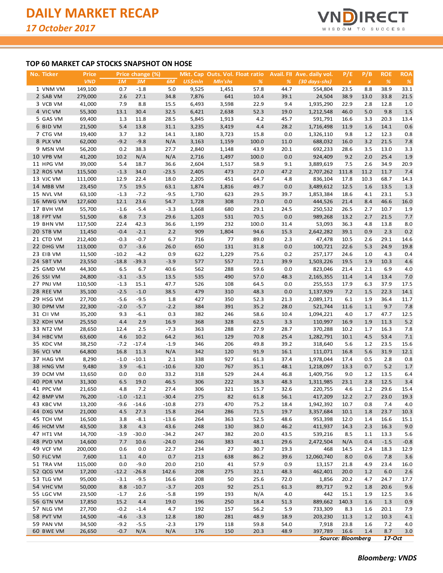

## **TOP 60 MARKET CAP STOCKS SNAPSHOT ON HOSE**

| <u>No. Ticker</u> | Price      |         | Price change (%) |         |                |         | Mkt. Cap Outs. Vol. Float ratio |      | <b>Avail.</b> FII Ave. daily vol. | P/E                      | P/B                | <b>ROE</b>    | <b>ROA</b>    |
|-------------------|------------|---------|------------------|---------|----------------|---------|---------------------------------|------|-----------------------------------|--------------------------|--------------------|---------------|---------------|
|                   | <b>VND</b> | 1M      | 3M               | 6M      | <b>US\$mln</b> | Mln'shs | %                               | %    | $(30 \, days\text{-}shs)$         | $\boldsymbol{X}$         | $\pmb{\mathsf{x}}$ | $\frac{9}{6}$ | $\frac{9}{6}$ |
| 1 VNM VM          | 149,100    | 0.7     | $-1.8$           | 5.0     | 9,525          | 1,451   | 57.8                            | 44.7 | 554,804                           | 23.5                     | 8.8                | 38.9          | 33.1          |
| 2 SAB VM          | 279,000    | 2.6     | 27.1             | 34.8    | 7,876          | 641     | 10.4                            | 39.1 | 24,504                            | 38.9                     | 13.0               | 33.8          | 21.5          |
| 3 VCB VM          | 41,000     | 7.9     | 8.8              | 15.5    | 6,493          | 3,598   | 22.9                            | 9.4  | 1,935,290                         | 22.9                     | 2.8                | 12.8          | 1.0           |
| 4 VIC VM          | 55,300     | 13.1    | 30.4             | 32.5    | 6,421          | 2,638   | 52.3                            | 19.0 | 1,212,548                         | 46.0                     | 5.0                | 9.8           | 1.5           |
| 5 GAS VM          | 69,400     | 1.3     | 11.8             | 28.5    | 5,845          | 1,913   | 4.2                             | 45.7 | 591,791                           | 16.6                     | 3.3                | 20.3          | 13.4          |
| 6 BID VM          | 21,500     | 5.4     | 13.8             | 31.1    | 3,235          | 3,419   | 4.4                             | 28.2 | 1,716,498                         | 11.9                     | 1.6                | 14.1          | 0.6           |
| 7 CTG VM          | 19,400     | 3.7     | 3.2              | 14.1    | 3,180          | 3,723   | 15.8                            | 0.0  | 1,326,110                         | 9.8                      | 1.2                | 12.3          | 0.8           |
| 8 PLX VM          | 62,000     | $-9.2$  | $-9.8$           | N/A     | 3,163          | 1,159   | 100.0                           | 11.0 | 688,032                           | 16.0                     | 3.2                | 21.5          | 7.8           |
| 9 MSN VM          | 56,200     | 0.2     | 38.3             | 27.7    | 2,840          | 1,148   | 43.9                            | 20.1 | 692,233                           | 28.6                     | 3.5                | 13.0          | 3.3           |
| 10 VPB VM         | 41,200     | 10.2    | N/A              | N/A     | 2,716          | 1,497   | 100.0                           | 0.0  | 924,409                           | 9.2                      | 2.0                | 25.4          | 1.9           |
| 11 HPG VM         | 39,000     | 5.4     | 18.7             | 36.6    | 2,604          | 1,517   | 58.9                            | 9.1  | 3,889,619                         | 7.5                      | 2.6                | 34.9          | 20.9          |
| 12 ROS VM         | 115,500    | $-1.3$  | 34.0             | $-23.5$ | 2,405          | 473     | 27.0                            | 47.2 | 2,707,262                         | 111.8                    | 11.2               | 11.7          | 7.4           |
| 13 VJC VM         | 111,000    | 12.9    | 22.4             | 18.0    | 2,205          | 451     | 64.7                            | 4.8  | 836,104                           | 17.8                     | 10.3               | 68.7          | 14.3          |
|                   |            |         |                  |         |                |         |                                 |      |                                   |                          |                    |               |               |
| 14 MBB VM         | 23,450     | 7.5     | 19.5             | 63.1    | 1,874          | 1,816   | 49.7                            | 0.0  | 3,489,612                         | 12.5                     | 1.6                | 13.5          | 1.3           |
| 15 NVL VM         | 63,100     | $-1.3$  | $-7.2$           | $-9.5$  | 1,730          | 623     | 29.5                            | 39.7 | 1,853,384                         | 18.6                     | 4.1                | 23.1          | 5.3           |
| 16 MWG VM         | 127,600    | 12.1    | 23.6             | 54.7    | 1,728          | 308     | 73.0                            | 0.0  | 444,526                           | 21.4                     | 8.4                | 46.6          | 16.0          |
| 17 BVH VM         | 55,700     | $-1.6$  | $-5.4$           | $-3.3$  | 1,668          | 680     | 29.1                            | 24.5 | 250,532                           | 26.5                     | 2.7                | 10.7          | 1.9           |
| 18 FPT VM         | 51,500     | 6.8     | 7.3              | 29.6    | 1,203          | 531     | 70.5                            | 0.0  | 989,268                           | 13.2                     | 2.7                | 21.5          | 7.7           |
| 19 BHN VM         | 117,500    | 22.4    | 42.3             | 36.6    | 1,199          | 232     | 100.0                           | 31.4 | 53,093                            | 36.3                     | 4.8                | 13.8          | 8.0           |
| 20 STB VM         | 11,450     | $-0.4$  | $-2.1$           | 2.2     | 909            | 1,804   | 94.6                            | 15.3 | 2,642,282                         | 39.1                     | 0.9                | 2.3           | 0.2           |
| 21 CTD VM         | 212,400    | $-0.3$  | $-0.7$           | 6.7     | 716            | 77      | 89.0                            | 2.3  | 47,478                            | 10.5                     | 2.6                | 29.1          | 14.6          |
| 22 DHG VM         | 113,000    | 0.7     | $-3.6$           | 26.0    | 650            | 131     | 31.8                            | 0.0  | 100,721                           | 22.6                     | 5.3                | 24.9          | 19.8          |
| 23 EIB VM         | 11,500     | $-10.2$ | $-4.2$           | 0.9     | 622            | 1,229   | 75.6                            | 0.2  | 257,177                           | 24.6                     | 1.0                | 4.3           | 0.4           |
| 24 SBT VM         | 23,550     | $-18.8$ | $-39.3$          | $-3.9$  | 577            | 557     | 72.1                            | 39.9 | 1,503,226                         | 19.5                     | 1.9                | 10.3          | 4.6           |
| 25 GMD VM         | 44,300     | 6.5     | 6.7              | 40.6    | 562            | 288     | 59.6                            | 0.0  | 823,046                           | 21.4                     | 2.1                | 6.9           | 4.0           |
| 26 SSI VM         | 24,800     | $-3.1$  | $-3.5$           | 13.5    | 535            | 490     | 57.0                            | 48.3 | 2,165,355                         | 11.4                     | 1.4                | 13.4          | 7.0           |
| 27 PNJ VM         | 110,500    | $-1.3$  | 15.1             | 47.7    | 526            | 108     | 64.5                            | 0.0  | 255,553                           | 17.9                     | 6.3                | 37.9          | 17.5          |
| 28 REE VM         | 35,100     | $-2.5$  | $-1.0$           | 38.5    | 479            | 310     | 48.3                            | 0.0  | 1,137,929                         | 7.2                      | 1.5                | 22.3          | 14.1          |
| 29 HSG VM         | 27,700     | $-5.6$  | $-9.5$           | 1.8     | 427            | 350     | 52.3                            | 21.3 | 2,089,171                         | 6.1                      | 1.9                | 36.4          | 11.7          |
| 30 DPM VM         | 22,300     | $-2.0$  | $-5.7$           | $-2.2$  | 384            | 391     | 35.2                            | 28.0 | 521,744                           | 11.6                     | 1.1                | 9.7           | 7.8           |
| 31 CII VM         | 35,200     | 9.3     | $-6.1$           | 0.3     | 382            | 246     | 58.6                            | 10.4 | 1,094,221                         | 4.0                      | 1.7                | 47.7          | 12.5          |
| 32 KDH VM         | 25,550     | 4.4     | 2.9              | 16.9    | 368            | 328     | 62.5                            | 3.3  | 110,997                           | 16.9                     | 1.9                | 11.3          | 5.2           |
| 33 NT2 VM         | 28,650     | 12.4    | 2.5              | $-7.3$  | 363            | 288     | 27.9                            | 28.7 | 370,288                           | 10.2                     | 1.7                | 16.3          | 7.8           |
| 34 HBC VM         | 63,600     | 4.6     | 10.2             | 64.2    | 361            | 129     | 70.8                            | 25.4 | 1,282,791                         | 10.1                     | 4.5                | 53.4          | 7.1           |
| 35 KDC VM         | 38,250     | $-7.2$  | $-17.4$          | $-1.9$  | 346            | 206     | 49.8                            | 39.2 | 318,640                           | 5.6                      | 1.2                | 23.5          | 15.6          |
| 36 VCI VM         | 64,800     | 16.8    | 11.3             | N/A     | 342            | 120     | 91.9                            | 16.1 | 111,071                           | 16.8                     | 5.6                | 31.9          | 12.1          |
| 37 HAG VM         | 8,290      | $-1.0$  | $-10.1$          | 2.1     | 338            | 927     | 61.3                            | 37.4 | 1,978,044                         | 17.4                     | 0.5                | 2.8           | 0.8           |
| 38 HNG VM         | 9,480      | 3.9     | $-6.1$           | $-10.6$ | 320            | 767     | 35.1                            | 48.1 | 1,218,097                         | 13.3                     | 0.7                | 5.2           | 1.7           |
| 39 DCM VM         | 13,650     | 0.0     | 0.0              | 33.2    | 318            | 529     | 24.4                            | 46.8 | 1,409,756                         | 9.0                      | 1.2                | 13.5          | 6.4           |
| 40 PDR VM         | 31,300     | 6.5     | 19.0             | 46.5    | 306            | 222     | 38.3                            | 48.3 | 1,311,985                         | 23.1                     | 2.8                | 12.5          | 3.4           |
| 41 PPC VM         | 21,650     | 4.8     | 7.2              | 27.4    | 306            | 321     | 15.7                            | 32.6 | 220,755                           | 4.6                      | 1.2                | 29.6          | 15.4          |
| 42 BMP VM         | 76,200     |         | $-1.0 -12.1$     | $-30.4$ | 275            | 82      | 61.8                            | 56.1 | 417,209                           | 12.2                     | 2.7                | 23.0          | 19.3          |
| 43 KBC VM         | 13,200     | $-9.6$  | $-14.6$          | $-10.8$ | 273            | 470     | 75.2                            | 18.4 | 1,942,392                         | 10.7                     | 0.8                | 7.4           | 4.0           |
| 44 DXG VM         | 21,000     | 4.5     | 27.3             | 15.8    | 264            | 286     | 71.5                            | 19.7 | 3,357,684                         | 10.1                     | 1.8                | 23.7          | 10.3          |
| 45 TCH VM         | 16,500     | 3.8     | $-8.1$           | $-13.6$ | 264            | 363     | 52.5                            | 48.6 | 953,398                           | 12.0                     | 1.4                | 16.6          | 15.1          |
| 46 HCM VM         | 43,500     | 3.8     | 4.3              | 43.6    | 248            | 130     | 38.0                            | 46.2 | 411,937                           | 14.3                     | 2.3                | 16.3          | 9.0           |
| 47 HT1 VM         | 14,700     | $-3.9$  | $-30.0$          | $-34.2$ | 247            | 382     | 20.0                            | 43.5 | 539,216                           | 8.5                      | 1.1                | 13.3          | 5.6           |
| 48 PVD VM         | 14,600     | 7.7     |                  | $-24.0$ | 246            | 383     |                                 | 29.6 | 2,472,504                         | N/A                      |                    | $-1.5$        | $-0.8$        |
|                   |            |         | 10.6             |         |                |         | 48.1                            |      |                                   |                          | 0.4                |               |               |
| 49 VCF VM         | 200,000    | 0.6     | 0.0              | 22.7    | 234            | 27      | 30.7                            | 19.3 | 468                               | 14.5                     | 2.4                | 18.3          | 12.9          |
| 50 FLC VM         | 7,600      | $1.1\,$ | 4.0              | 0.7     | 213            | 638     | 86.2                            | 39.6 | 12,060,740                        | 8.0                      | 0.6                | 7.8           | 3.6           |
| 51 TRA VM         | 115,000    | 0.0     | $-9.0$           | 20.0    | 210            | 41      | 57.9                            | 0.9  | 13,157                            | 21.8                     | 4.9                | 23.4          | 16.0          |
| 52 QCG VM         | 17,200     | $-12.2$ | $-26.8$          | 142.6   | 208            | 275     | 32.1                            | 48.3 | 462,401                           | 20.0                     | 1.2                | 6.0           | 2.6           |
| 53 TLG VM         | 95,000     | $-3.1$  | $-9.5$           | 16.6    | 208            | 50      | 25.6                            | 72.0 | 1,856                             | 20.2                     | 4.7                | 24.7          | 17.7          |
| 54 VHC VM         | 50,000     | 8.8     | $-10.7$          | $-3.7$  | 203            | 92      | 25.1                            | 61.3 | 89,717                            | 9.2                      | 1.8                | 20.6          | 9.6           |
| 55 LGC VM         | 23,500     | $-1.7$  | 2.6              | $-5.8$  | 199            | 193     | N/A                             | 4.0  | 442                               | 15.1                     | 1.9                | 12.5          | 3.6           |
| 56 GTN VM         | 17,850     | 15.2    | 4.4              | 19.0    | 196            | 250     | 18.4                            | 51.3 | 889,662 140.3                     |                          | 1.6                | 1.3           | 0.9           |
| 57 NLG VM         | 27,700     | $-0.2$  | $-1.4$           | 4.7     | 192            | 157     | 56.2                            | 5.9  | 733,309                           | 8.3                      | 1.6                | 20.1          | 7.9           |
| 58 PVT VM         | 14,500     | $-4.6$  | $-3.3$           | 12.8    | 180            | 281     | 48.9                            | 18.9 | 203,230                           | 11.3                     | 1.2                | 10.3          | 4.1           |
| 59 PAN VM         | 34,500     | $-9.2$  | $-5.5$           | $-2.3$  | 179            | 118     | 59.8                            | 54.0 | 7,918                             | 23.8                     | 1.6                | 7.2           | 4.0           |
| 60 BWE VM         | 26,650     | $-0.7$  | N/A              | N/A     | 176            | 150     | 20.3                            | 48.9 | 397,789                           | 16.6                     | 1.4                | 8.7           | 3.0           |
|                   |            |         |                  |         |                |         |                                 |      |                                   | <b>Source: Bloomberg</b> |                    | $17-Oct$      |               |